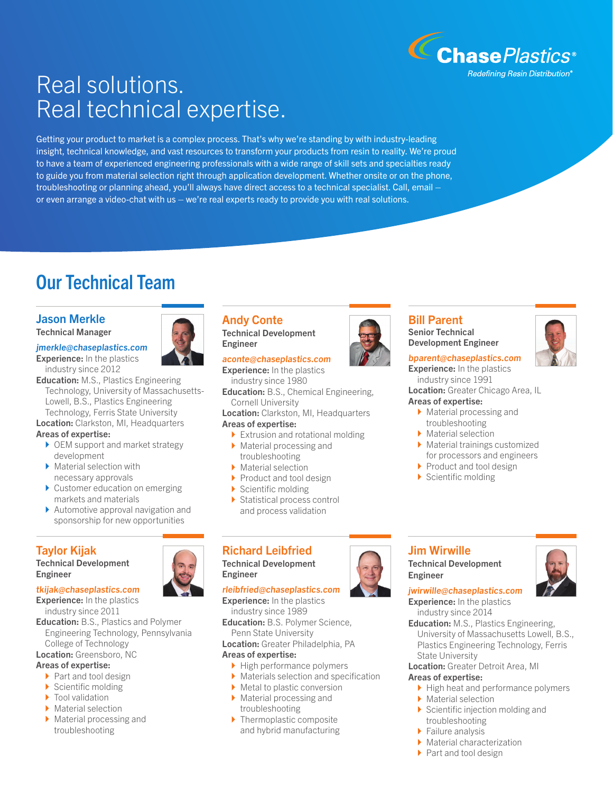

# Real solutions. Real technical expertise.

Getting your product to market is a complex process. That's why we're standing by with industry-leading insight, technical knowledge, and vast resources to transform your products from resin to reality. We're proud to have a team of experienced engineering professionals with a wide range of skill sets and specialties ready to guide you from material selection right through application development. Whether onsite or on the phone, troubleshooting or planning ahead, you'll always have direct access to a technical specialist. Call, email – or even arrange a video-chat with us – we're real experts ready to provide you with real solutions.

## Our Technical Team

### Jason Merkle

Technical Manager

#### jmerkle@chaseplastics.com



Education: M.S., Plastics Engineering Technology, University of Massachusetts-Lowell, B.S., Plastics Engineering Technology, Ferris State University

**Location:** Clarkston, MI, Headquarters Areas of expertise:

- ▶ OEM support and market strategy development
- } Material selection with necessary approvals
- ▶ Customer education on emerging markets and materials
- ▶ Automotive approval navigation and sponsorship for new opportunities

### Taylor Kijak

Technical Development Engineer

#### tkijak@chaseplastics.com **Experience:** In the plastics

industry since 2011

- Education: B.S., Plastics and Polymer Engineering Technology, Pennsylvania College of Technology
- Location: Greensboro, NC

#### Areas of expertise:

- ▶ Part and tool design
- $\blacktriangleright$  Scientific molding
- $\blacktriangleright$  Tool validation
- ▶ Material selection
- $\blacktriangleright$  Material processing and troubleshooting

#### Andy Conte Technical Development Engineer

### aconte@chaseplastics.com

**Experience:** In the plastics industry since 1980

**Education:** B.S., Chemical Engineering, Cornell University

Location: Clarkston, MI, Headquarters

### Areas of expertise:

- $\blacktriangleright$  Extrusion and rotational molding  $\blacktriangleright$  Material processing and
- troubleshooting ▶ Material selection
- ▶ Product and tool design
- $\blacktriangleright$  Scientific molding
- $\blacktriangleright$  Statistical process control and process validation

## Richard Leibfried

Technical Development Engineer

rleibfried@chaseplastics.com **Experience:** In the plastics industry since 1989

Education: B.S. Polymer Science, Penn State University

Location: Greater Philadelphia, PA

#### Areas of expertise:

- ▶ High performance polymers
- ▶ Materials selection and specification
- ▶ Metal to plastic conversion
- ▶ Material processing and troubleshooting
- ▶ Thermoplastic composite and hybrid manufacturing



#### Bill Parent Senior Technical Development Engineer

### bparent@chaseplastics.com

**Experience:** In the plastics industry since 1991 Location: Greater Chicago Area, IL

#### Areas of expertise:

- $\blacktriangleright$  Material processing and troubleshooting
- $\blacktriangleright$  Material selection
- $\blacktriangleright$  Material trainings customized for processors and engineers
- ▶ Product and tool design
- ▶ Scientific molding

#### Jim Wirwille Technical Development

Engineer



jwirwille@chaseplastics.com **Experience:** In the plastics industry since 2014

**Education:** M.S., Plastics Engineering, University of Massachusetts Lowell, B.S., Plastics Engineering Technology, Ferris State University

#### Location: Greater Detroit Area, MI

#### Areas of expertise:

- ▶ High heat and performance polymers
- ▶ Material selection
- $\blacktriangleright$  Scientific injection molding and troubleshooting
- ▶ Failure analysis
- ▶ Material characterization
- ▶ Part and tool design